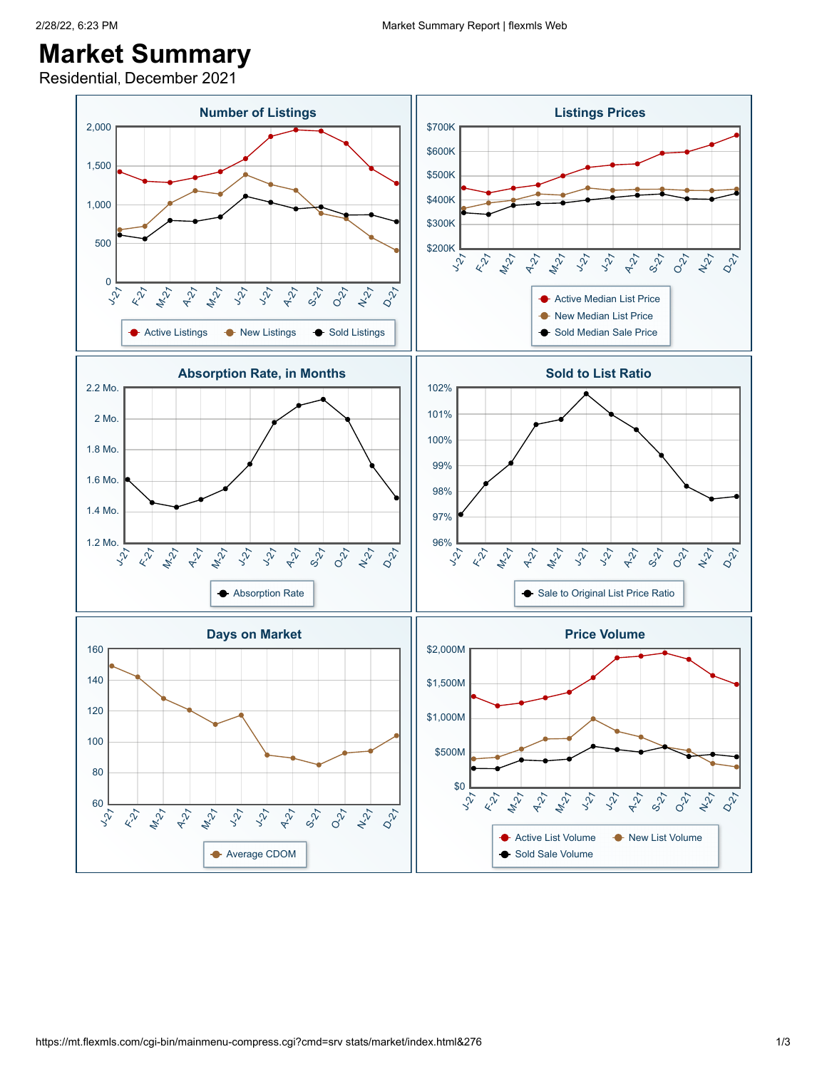## **Market Summary**

Residential, December 2021

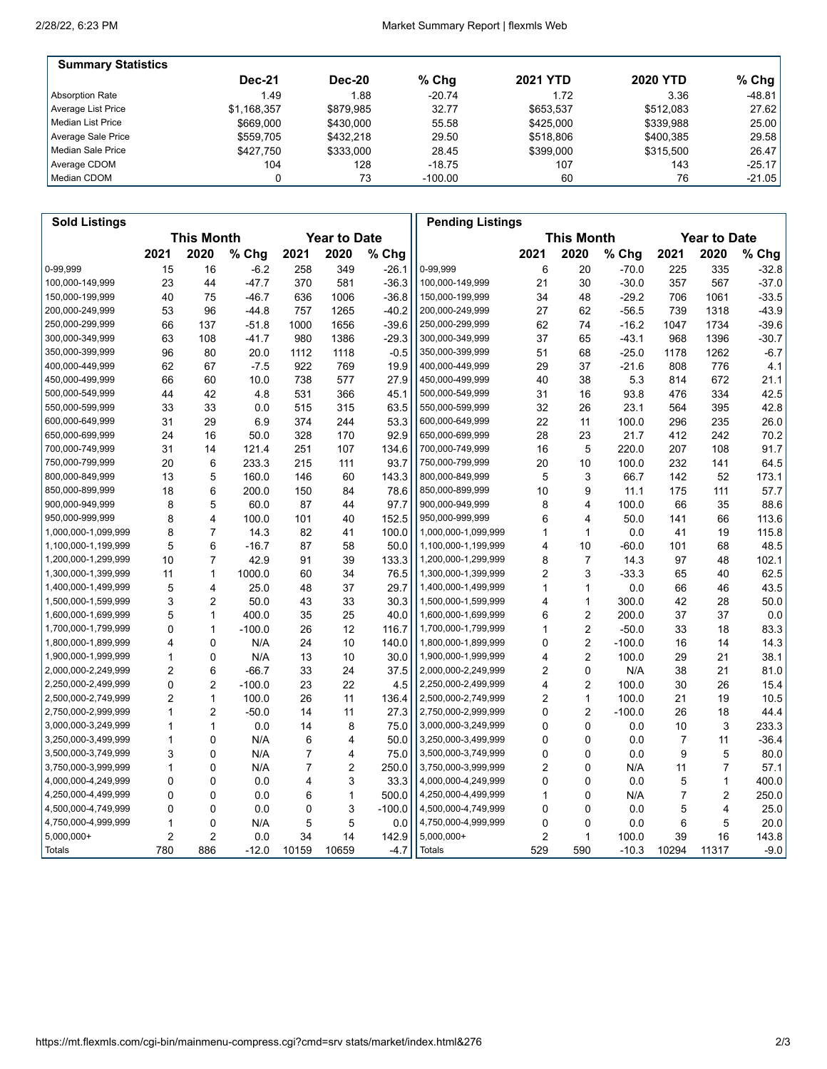'n

| <b>Summary Statistics</b> |               |               |           |                 |                 |           |
|---------------------------|---------------|---------------|-----------|-----------------|-----------------|-----------|
|                           | <b>Dec-21</b> | <b>Dec-20</b> | $%$ Chq   | <b>2021 YTD</b> | <b>2020 YTD</b> | % Chg $ $ |
| Absorption Rate           | 1.49          | 1.88          | $-20.74$  | 1.72            | 3.36            | $-48.81$  |
| Average List Price        | \$1,168,357   | \$879.985     | 32.77     | \$653.537       | \$512.083       | 27.62     |
| Median List Price         | \$669,000     | \$430,000     | 55.58     | \$425,000       | \$339.988       | 25.00     |
| Average Sale Price        | \$559.705     | \$432.218     | 29.50     | \$518,806       | \$400.385       | 29.58     |
| Median Sale Price         | \$427.750     | \$333,000     | 28.45     | \$399,000       | \$315,500       | 26.47     |
| Average CDOM              | 104           | 128           | -18.75    | 107             | 143             | $-25.17$  |
| l Median CDOM             |               | 73            | $-100.00$ | 60              | 76              | $-21.05$  |

| <b>Sold Listings</b> |                |                   |          |                |                     |          | <b>Pending Listings</b> |      |                   |          |                |                     |         |
|----------------------|----------------|-------------------|----------|----------------|---------------------|----------|-------------------------|------|-------------------|----------|----------------|---------------------|---------|
|                      |                | <b>This Month</b> |          |                | <b>Year to Date</b> |          |                         |      | <b>This Month</b> |          |                | <b>Year to Date</b> |         |
|                      | 2021           | 2020              | % Chg    | 2021           | 2020                | % Chg    |                         | 2021 | 2020              | % Chg    | 2021           | 2020                | % Chg   |
| 0-99,999             | 15             | 16                | $-6.2$   | 258            | 349                 | $-26.1$  | 0-99,999                | 6    | 20                | $-70.0$  | 225            | 335                 | $-32.8$ |
| 100,000-149,999      | 23             | 44                | $-47.7$  | 370            | 581                 | $-36.3$  | 100,000-149,999         | 21   | 30                | $-30.0$  | 357            | 567                 | $-37.0$ |
| 150,000-199,999      | 40             | 75                | $-46.7$  | 636            | 1006                | $-36.8$  | 150,000-199,999         | 34   | 48                | $-29.2$  | 706            | 1061                | $-33.5$ |
| 200,000-249,999      | 53             | 96                | $-44.8$  | 757            | 1265                | $-40.2$  | 200,000-249,999         | 27   | 62                | $-56.5$  | 739            | 1318                | $-43.9$ |
| 250,000-299,999      | 66             | 137               | $-51.8$  | 1000           | 1656                | $-39.6$  | 250,000-299,999         | 62   | 74                | $-16.2$  | 1047           | 1734                | $-39.6$ |
| 300,000-349,999      | 63             | 108               | $-41.7$  | 980            | 1386                | $-29.3$  | 300,000-349,999         | 37   | 65                | $-43.1$  | 968            | 1396                | $-30.7$ |
| 350,000-399,999      | 96             | 80                | 20.0     | 1112           | 1118                | $-0.5$   | 350,000-399,999         | 51   | 68                | $-25.0$  | 1178           | 1262                | $-6.7$  |
| 400,000-449,999      | 62             | 67                | $-7.5$   | 922            | 769                 | 19.9     | 400,000-449,999         | 29   | 37                | $-21.6$  | 808            | 776                 | 4.1     |
| 450,000-499,999      | 66             | 60                | 10.0     | 738            | 577                 | 27.9     | 450,000-499,999         | 40   | 38                | 5.3      | 814            | 672                 | 21.1    |
| 500,000-549,999      | 44             | 42                | 4.8      | 531            | 366                 | 45.1     | 500,000-549,999         | 31   | 16                | 93.8     | 476            | 334                 | 42.5    |
| 550,000-599,999      | 33             | 33                | 0.0      | 515            | 315                 | 63.5     | 550,000-599,999         | 32   | 26                | 23.1     | 564            | 395                 | 42.8    |
| 600,000-649,999      | 31             | 29                | 6.9      | 374            | 244                 | 53.3     | 600,000-649,999         | 22   | 11                | 100.0    | 296            | 235                 | 26.0    |
| 650,000-699,999      | 24             | 16                | 50.0     | 328            | 170                 | 92.9     | 650,000-699,999         | 28   | 23                | 21.7     | 412            | 242                 | 70.2    |
| 700,000-749,999      | 31             | 14                | 121.4    | 251            | 107                 | 134.6    | 700,000-749,999         | 16   | 5                 | 220.0    | 207            | 108                 | 91.7    |
| 750,000-799,999      | 20             | 6                 | 233.3    | 215            | 111                 | 93.7     | 750,000-799,999         | 20   | 10                | 100.0    | 232            | 141                 | 64.5    |
| 800,000-849,999      | 13             | 5                 | 160.0    | 146            | 60                  | 143.3    | 800,000-849,999         | 5    | 3                 | 66.7     | 142            | 52                  | 173.1   |
| 850,000-899,999      | 18             | 6                 | 200.0    | 150            | 84                  | 78.6     | 850,000-899,999         | 10   | 9                 | 11.1     | 175            | 111                 | 57.7    |
| 900,000-949,999      | 8              | 5                 | 60.0     | 87             | 44                  | 97.7     | 900,000-949,999         | 8    | 4                 | 100.0    | 66             | 35                  | 88.6    |
| 950,000-999,999      | 8              | 4                 | 100.0    | 101            | 40                  | 152.5    | 950,000-999,999         | 6    | 4                 | 50.0     | 141            | 66                  | 113.6   |
| 1,000,000-1,099,999  | 8              | $\overline{7}$    | 14.3     | 82             | 41                  | 100.0    | 1,000,000-1,099,999     | 1    | $\mathbf{1}$      | 0.0      | 41             | 19                  | 115.8   |
| 1,100,000-1,199,999  | 5              | 6                 | $-16.7$  | 87             | 58                  | 50.0     | 1,100,000-1,199,999     | 4    | 10                | $-60.0$  | 101            | 68                  | 48.5    |
| 1,200,000-1,299,999  | 10             | $\overline{7}$    | 42.9     | 91             | 39                  | 133.3    | 1,200,000-1,299,999     | 8    | $\overline{7}$    | 14.3     | 97             | 48                  | 102.1   |
| 1,300,000-1,399,999  | 11             | $\mathbf{1}$      | 1000.0   | 60             | 34                  | 76.5     | 1,300,000-1,399,999     | 2    | 3                 | $-33.3$  | 65             | 40                  | 62.5    |
| 1,400,000-1,499,999  | 5              | $\overline{4}$    | 25.0     | 48             | 37                  | 29.7     | 1,400,000-1,499,999     | 1    | $\mathbf{1}$      | 0.0      | 66             | 46                  | 43.5    |
| 1,500,000-1,599,999  | 3              | $\overline{2}$    | 50.0     | 43             | 33                  | 30.3     | 1,500,000-1,599,999     | 4    | $\mathbf{1}$      | 300.0    | 42             | 28                  | 50.0    |
| 1,600,000-1,699,999  | 5              | 1                 | 400.0    | 35             | 25                  | 40.0     | 1,600,000-1,699,999     | 6    | $\overline{2}$    | 200.0    | 37             | 37                  | 0.0     |
| 1,700,000-1,799,999  | 0              | $\mathbf{1}$      | $-100.0$ | 26             | 12                  | 116.7    | 1,700,000-1,799,999     | 1    | $\mathbf 2$       | $-50.0$  | 33             | 18                  | 83.3    |
| 1,800,000-1,899,999  | 4              | 0                 | N/A      | 24             | 10                  | 140.0    | 1,800,000-1,899,999     | 0    | $\overline{2}$    | $-100.0$ | 16             | 14                  | 14.3    |
| 1,900,000-1,999,999  | 1              | 0                 | N/A      | 13             | 10                  | 30.0     | 1,900,000-1,999,999     | 4    | $\overline{2}$    | 100.0    | 29             | 21                  | 38.1    |
| 2,000,000-2,249,999  | 2              | 6                 | $-66.7$  | 33             | 24                  | 37.5     | 2,000,000-2,249,999     | 2    | 0                 | N/A      | 38             | 21                  | 81.0    |
| 2,250,000-2,499,999  | 0              | $\overline{2}$    | $-100.0$ | 23             | 22                  | 4.5      | 2,250,000-2,499,999     | 4    | $\overline{2}$    | 100.0    | 30             | 26                  | 15.4    |
| 2,500,000-2,749,999  | $\overline{2}$ | $\mathbf{1}$      | 100.0    | 26             | 11                  | 136.4    | 2,500,000-2,749,999     | 2    | $\mathbf{1}$      | 100.0    | 21             | 19                  | 10.5    |
| 2,750,000-2,999,999  | 1              | 2                 | $-50.0$  | 14             | 11                  | 27.3     | 2,750,000-2,999,999     | 0    | $\overline{2}$    | $-100.0$ | 26             | 18                  | 44.4    |
| 3,000,000-3,249,999  | 1              | $\mathbf{1}$      | 0.0      | 14             | 8                   | 75.0     | 3,000,000-3,249,999     | 0    | 0                 | 0.0      | 10             | 3                   | 233.3   |
| 3,250,000-3,499,999  | $\mathbf{1}$   | $\mathbf{0}$      | N/A      | 6              | 4                   | 50.0     | 3,250,000-3,499,999     | 0    | $\mathbf 0$       | 0.0      | $\overline{7}$ | 11                  | $-36.4$ |
| 3,500,000-3,749,999  | 3              | $\mathbf{0}$      | N/A      | $\overline{7}$ | 4                   | 75.0     | 3,500,000-3,749,999     | 0    | $\mathbf{0}$      | 0.0      | 9              | 5                   | 80.0    |
| 3,750,000-3,999,999  | 1              | $\mathbf 0$       | N/A      | $\overline{7}$ | 2                   | 250.0    | 3,750,000-3,999,999     | 2    | $\mathbf 0$       | N/A      | 11             | 7                   | 57.1    |
| 4,000,000-4,249,999  | 0              | 0                 | 0.0      | 4              | 3                   | 33.3     | 4,000,000-4,249,999     | 0    | 0                 | 0.0      | 5              | 1                   | 400.0   |
| 4,250,000-4,499,999  | 0              | $\mathbf 0$       | 0.0      | 6              | $\mathbf{1}$        | 500.0    | 4,250,000-4,499,999     | 1    | $\mathbf 0$       | N/A      | 7              | 2                   | 250.0   |
| 4,500,000-4,749,999  | 0              | $\mathbf 0$       | 0.0      | $\mathbf 0$    | 3                   | $-100.0$ | 4,500,000-4,749,999     | 0    | $\mathbf 0$       | 0.0      | 5              | 4                   | 25.0    |
| 4,750,000-4,999,999  | 1              | 0                 | N/A      | 5              | 5                   | 0.0      | 4,750,000-4,999,999     | 0    | 0                 | 0.0      | 6              | 5                   | 20.0    |
| $5,000,000+$         | 2              | $\overline{2}$    | 0.0      | 34             | 14                  | 142.9    | 5,000,000+              | 2    | $\mathbf{1}$      | 100.0    | 39             | 16                  | 143.8   |
| Totals               | 780            | 886               | $-12.0$  | 10159          | 10659               | $-4.7$   | Totals                  | 529  | 590               | $-10.3$  | 10294          | 11317               | $-9.0$  |
|                      |                |                   |          |                |                     |          |                         |      |                   |          |                |                     |         |